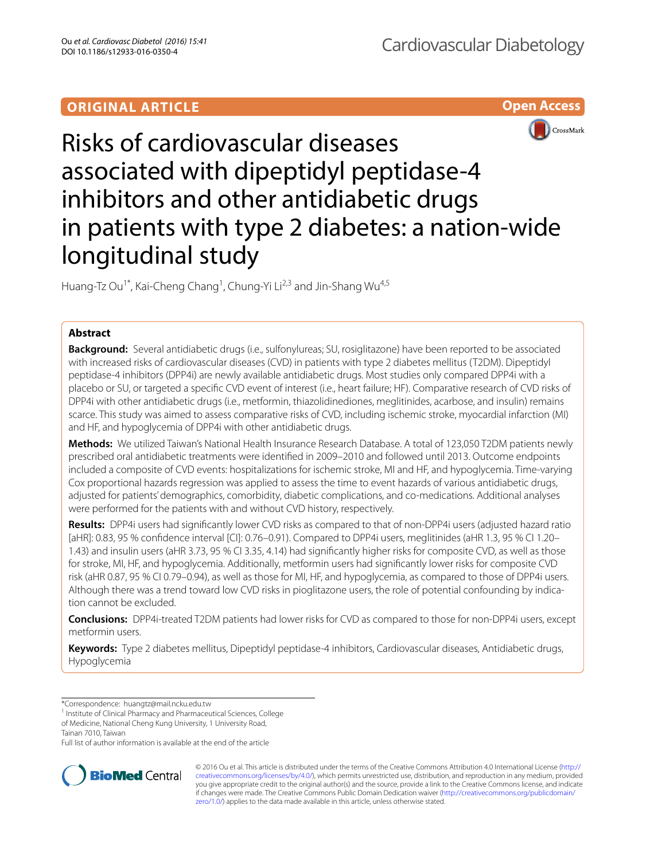# **ORIGINAL ARTICLE**





# Risks of cardiovascular diseases associated with dipeptidyl peptidase-4 inhibitors and other antidiabetic drugs in patients with type 2 diabetes: a nation-wide longitudinal study

Huang-Tz Ou<sup>1\*</sup>, Kai-Cheng Chang<sup>1</sup>, Chung-Yi Li<sup>2,3</sup> and Jin-Shang Wu<sup>4,5</sup>

# **Abstract**

**Background:** Several antidiabetic drugs (i.e., sulfonylureas; SU, rosiglitazone) have been reported to be associated with increased risks of cardiovascular diseases (CVD) in patients with type 2 diabetes mellitus (T2DM). Dipeptidyl peptidase-4 inhibitors (DPP4i) are newly available antidiabetic drugs. Most studies only compared DPP4i with a placebo or SU, or targeted a specific CVD event of interest (i.e., heart failure; HF). Comparative research of CVD risks of DPP4i with other antidiabetic drugs (i.e., metformin, thiazolidinediones, meglitinides, acarbose, and insulin) remains scarce. This study was aimed to assess comparative risks of CVD, including ischemic stroke, myocardial infarction (MI) and HF, and hypoglycemia of DPP4i with other antidiabetic drugs.

**Methods:** We utilized Taiwan's National Health Insurance Research Database. A total of 123,050 T2DM patients newly prescribed oral antidiabetic treatments were identified in 2009–2010 and followed until 2013. Outcome endpoints included a composite of CVD events: hospitalizations for ischemic stroke, MI and HF, and hypoglycemia. Time-varying Cox proportional hazards regression was applied to assess the time to event hazards of various antidiabetic drugs, adjusted for patients' demographics, comorbidity, diabetic complications, and co-medications. Additional analyses were performed for the patients with and without CVD history, respectively.

**Results:** DPP4i users had significantly lower CVD risks as compared to that of non-DPP4i users (adjusted hazard ratio [aHR]: 0.83, 95 % confidence interval [CI]: 0.76–0.91). Compared to DPP4i users, meglitinides (aHR 1.3, 95 % CI 1.20– 1.43) and insulin users (aHR 3.73, 95 % CI 3.35, 4.14) had significantly higher risks for composite CVD, as well as those for stroke, MI, HF, and hypoglycemia. Additionally, metformin users had significantly lower risks for composite CVD risk (aHR 0.87, 95 % CI 0.79–0.94), as well as those for MI, HF, and hypoglycemia, as compared to those of DPP4i users. Although there was a trend toward low CVD risks in pioglitazone users, the role of potential confounding by indication cannot be excluded.

**Conclusions:** DPP4i-treated T2DM patients had lower risks for CVD as compared to those for non-DPP4i users, except metformin users.

**Keywords:** Type 2 diabetes mellitus, Dipeptidyl peptidase-4 inhibitors, Cardiovascular diseases, Antidiabetic drugs, Hypoglycemia

of Medicine, National Cheng Kung University, 1 University Road,

Tainan 7010, Taiwan

Full list of author information is available at the end of the article



© 2016 Ou et al. This article is distributed under the terms of the Creative Commons Attribution 4.0 International License ([http://](http://creativecommons.org/licenses/by/4.0/) [creativecommons.org/licenses/by/4.0/](http://creativecommons.org/licenses/by/4.0/)), which permits unrestricted use, distribution, and reproduction in any medium, provided you give appropriate credit to the original author(s) and the source, provide a link to the Creative Commons license, and indicate if changes were made. The Creative Commons Public Domain Dedication waiver ([http://creativecommons.org/publicdomain/](http://creativecommons.org/publicdomain/zero/1.0/) [zero/1.0/](http://creativecommons.org/publicdomain/zero/1.0/)) applies to the data made available in this article, unless otherwise stated.

<sup>\*</sup>Correspondence: huangtz@mail.ncku.edu.tw

<sup>&</sup>lt;sup>1</sup> Institute of Clinical Pharmacy and Pharmaceutical Sciences, College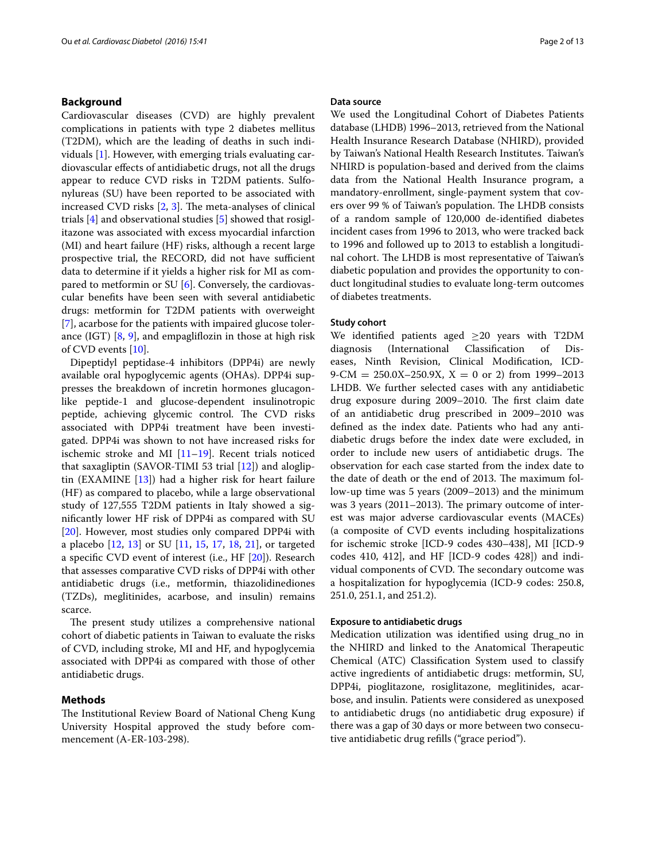## **Background**

Cardiovascular diseases (CVD) are highly prevalent complications in patients with type 2 diabetes mellitus (T2DM), which are the leading of deaths in such individuals [\[1](#page-11-0)]. However, with emerging trials evaluating cardiovascular effects of antidiabetic drugs, not all the drugs appear to reduce CVD risks in T2DM patients. Sulfonylureas (SU) have been reported to be associated with increased CVD risks [\[2,](#page-11-1) [3](#page-11-2)]. The meta-analyses of clinical trials [[4\]](#page-11-3) and observational studies [\[5](#page-11-4)] showed that rosiglitazone was associated with excess myocardial infarction (MI) and heart failure (HF) risks, although a recent large prospective trial, the RECORD, did not have sufficient data to determine if it yields a higher risk for MI as compared to metformin or SU [[6\]](#page-11-5). Conversely, the cardiovascular benefits have been seen with several antidiabetic drugs: metformin for T2DM patients with overweight [[7\]](#page-11-6), acarbose for the patients with impaired glucose tolerance (IGT)  $[8, 9]$  $[8, 9]$  $[8, 9]$  $[8, 9]$ , and empagliflozin in those at high risk of CVD events [\[10](#page-11-9)].

Dipeptidyl peptidase-4 inhibitors (DPP4i) are newly available oral hypoglycemic agents (OHAs). DPP4i suppresses the breakdown of incretin hormones glucagonlike peptide-1 and glucose-dependent insulinotropic peptide, achieving glycemic control. The CVD risks associated with DPP4i treatment have been investigated. DPP4i was shown to not have increased risks for ischemic stroke and MI [[11–](#page-11-10)[19](#page-12-0)]. Recent trials noticed that saxagliptin (SAVOR-TIMI 53 trial [\[12\]](#page-11-11)) and alogliptin (EXAMINE [\[13](#page-11-12)]) had a higher risk for heart failure (HF) as compared to placebo, while a large observational study of 127,555 T2DM patients in Italy showed a significantly lower HF risk of DPP4i as compared with SU [[20\]](#page-12-1). However, most studies only compared DPP4i with a placebo [\[12](#page-11-11), [13\]](#page-11-12) or SU [[11,](#page-11-10) [15,](#page-12-2) [17](#page-12-3), [18,](#page-12-4) [21\]](#page-12-5), or targeted a specific CVD event of interest (i.e., HF [\[20\]](#page-12-1)). Research that assesses comparative CVD risks of DPP4i with other antidiabetic drugs (i.e., metformin, thiazolidinediones (TZDs), meglitinides, acarbose, and insulin) remains scarce.

The present study utilizes a comprehensive national cohort of diabetic patients in Taiwan to evaluate the risks of CVD, including stroke, MI and HF, and hypoglycemia associated with DPP4i as compared with those of other antidiabetic drugs.

# **Methods**

The Institutional Review Board of National Cheng Kung University Hospital approved the study before commencement (A-ER-103-298).

#### **Data source**

We used the Longitudinal Cohort of Diabetes Patients database (LHDB) 1996–2013, retrieved from the National Health Insurance Research Database (NHIRD), provided by Taiwan's National Health Research Institutes. Taiwan's NHIRD is population-based and derived from the claims data from the National Health Insurance program, a mandatory-enrollment, single-payment system that covers over 99 % of Taiwan's population. The LHDB consists of a random sample of 120,000 de-identified diabetes incident cases from 1996 to 2013, who were tracked back to 1996 and followed up to 2013 to establish a longitudinal cohort. The LHDB is most representative of Taiwan's diabetic population and provides the opportunity to conduct longitudinal studies to evaluate long-term outcomes of diabetes treatments.

#### **Study cohort**

We identified patients aged  $\geq$ 20 years with T2DM diagnosis (International Classification of Dis-(International eases, Ninth Revision, Clinical Modification, ICD- $9\text{-CM} = 250.0X - 250.9X$ ,  $X = 0$  or 2) from 1999–2013 LHDB. We further selected cases with any antidiabetic drug exposure during 2009–2010. The first claim date of an antidiabetic drug prescribed in 2009–2010 was defined as the index date. Patients who had any antidiabetic drugs before the index date were excluded, in order to include new users of antidiabetic drugs. The observation for each case started from the index date to the date of death or the end of 2013. The maximum follow-up time was 5 years (2009–2013) and the minimum was 3 years (2011–2013). The primary outcome of interest was major adverse cardiovascular events (MACEs) (a composite of CVD events including hospitalizations for ischemic stroke [ICD-9 codes 430–438], MI [ICD-9 codes 410, 412], and HF [ICD-9 codes 428]) and individual components of CVD. The secondary outcome was a hospitalization for hypoglycemia (ICD-9 codes: 250.8, 251.0, 251.1, and 251.2).

#### **Exposure to antidiabetic drugs**

Medication utilization was identified using drug\_no in the NHIRD and linked to the Anatomical Therapeutic Chemical (ATC) Classification System used to classify active ingredients of antidiabetic drugs: metformin, SU, DPP4i, pioglitazone, rosiglitazone, meglitinides, acarbose, and insulin. Patients were considered as unexposed to antidiabetic drugs (no antidiabetic drug exposure) if there was a gap of 30 days or more between two consecutive antidiabetic drug refills ("grace period").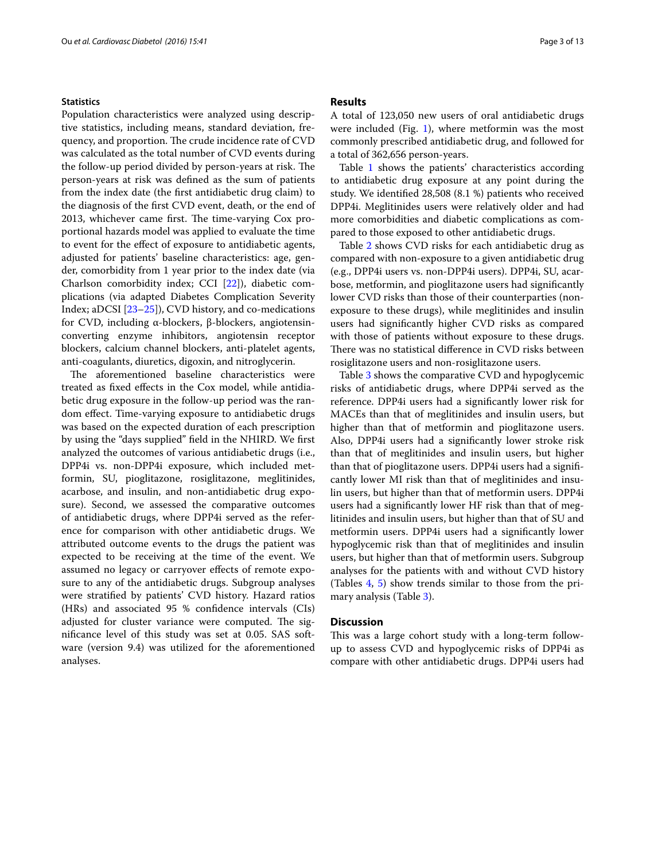#### **Statistics**

Population characteristics were analyzed using descriptive statistics, including means, standard deviation, frequency, and proportion. The crude incidence rate of CVD was calculated as the total number of CVD events during the follow-up period divided by person-years at risk. The person-years at risk was defined as the sum of patients from the index date (the first antidiabetic drug claim) to the diagnosis of the first CVD event, death, or the end of 2013, whichever came first. The time-varying Cox proportional hazards model was applied to evaluate the time to event for the effect of exposure to antidiabetic agents, adjusted for patients' baseline characteristics: age, gender, comorbidity from 1 year prior to the index date (via Charlson comorbidity index; CCI [[22](#page-12-6)]), diabetic complications (via adapted Diabetes Complication Severity Index; aDCSI [\[23–](#page-12-7)[25\]](#page-12-8)), CVD history, and co-medications for CVD, including α-blockers, β-blockers, angiotensinconverting enzyme inhibitors, angiotensin receptor blockers, calcium channel blockers, anti-platelet agents, anti-coagulants, diuretics, digoxin, and nitroglycerin.

The aforementioned baseline characteristics were treated as fixed effects in the Cox model, while antidiabetic drug exposure in the follow-up period was the random effect. Time-varying exposure to antidiabetic drugs was based on the expected duration of each prescription by using the "days supplied" field in the NHIRD. We first analyzed the outcomes of various antidiabetic drugs (i.e., DPP4i vs. non-DPP4i exposure, which included metformin, SU, pioglitazone, rosiglitazone, meglitinides, acarbose, and insulin, and non-antidiabetic drug exposure). Second, we assessed the comparative outcomes of antidiabetic drugs, where DPP4i served as the reference for comparison with other antidiabetic drugs. We attributed outcome events to the drugs the patient was expected to be receiving at the time of the event. We assumed no legacy or carryover effects of remote exposure to any of the antidiabetic drugs. Subgroup analyses were stratified by patients' CVD history. Hazard ratios (HRs) and associated 95 % confidence intervals (CIs) adjusted for cluster variance were computed. The significance level of this study was set at 0.05. SAS software (version 9.4) was utilized for the aforementioned analyses.

#### **Results**

A total of 123,050 new users of oral antidiabetic drugs were included (Fig. [1\)](#page-3-0), where metformin was the most commonly prescribed antidiabetic drug, and followed for a total of 362,656 person-years.

Table [1](#page-4-0) shows the patients' characteristics according to antidiabetic drug exposure at any point during the study. We identified 28,508 (8.1 %) patients who received DPP4i. Meglitinides users were relatively older and had more comorbidities and diabetic complications as compared to those exposed to other antidiabetic drugs.

Table [2](#page-5-0) shows CVD risks for each antidiabetic drug as compared with non-exposure to a given antidiabetic drug (e.g., DPP4i users vs. non-DPP4i users). DPP4i, SU, acarbose, metformin, and pioglitazone users had significantly lower CVD risks than those of their counterparties (nonexposure to these drugs), while meglitinides and insulin users had significantly higher CVD risks as compared with those of patients without exposure to these drugs. There was no statistical difference in CVD risks between rosiglitazone users and non-rosiglitazone users.

Table [3](#page-6-0) shows the comparative CVD and hypoglycemic risks of antidiabetic drugs, where DPP4i served as the reference. DPP4i users had a significantly lower risk for MACEs than that of meglitinides and insulin users, but higher than that of metformin and pioglitazone users. Also, DPP4i users had a significantly lower stroke risk than that of meglitinides and insulin users, but higher than that of pioglitazone users. DPP4i users had a significantly lower MI risk than that of meglitinides and insulin users, but higher than that of metformin users. DPP4i users had a significantly lower HF risk than that of meglitinides and insulin users, but higher than that of SU and metformin users. DPP4i users had a significantly lower hypoglycemic risk than that of meglitinides and insulin users, but higher than that of metformin users. Subgroup analyses for the patients with and without CVD history (Tables [4,](#page-8-0) [5](#page-10-0)) show trends similar to those from the primary analysis (Table [3](#page-6-0)).

# **Discussion**

This was a large cohort study with a long-term followup to assess CVD and hypoglycemic risks of DPP4i as compare with other antidiabetic drugs. DPP4i users had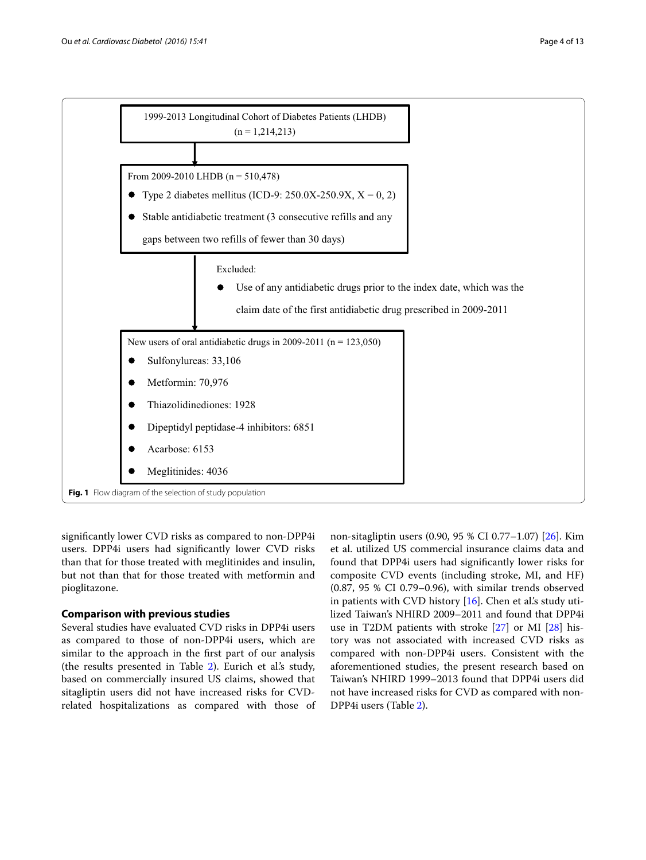

<span id="page-3-0"></span>significantly lower CVD risks as compared to non-DPP4i users. DPP4i users had significantly lower CVD risks than that for those treated with meglitinides and insulin, but not than that for those treated with metformin and pioglitazone.

# **Comparison with previous studies**

Several studies have evaluated CVD risks in DPP4i users as compared to those of non-DPP4i users, which are similar to the approach in the first part of our analysis (the results presented in Table [2\)](#page-5-0). Eurich et al.'s study, based on commercially insured US claims, showed that sitagliptin users did not have increased risks for CVDrelated hospitalizations as compared with those of

non-sitagliptin users (0.90, 95 % CI 0.77–1.07) [[26\]](#page-12-9). Kim et al. utilized US commercial insurance claims data and found that DPP4i users had significantly lower risks for composite CVD events (including stroke, MI, and HF) (0.87, 95 % CI 0.79–0.96), with similar trends observed in patients with CVD history  $[16]$  $[16]$ . Chen et al's study utilized Taiwan's NHIRD 2009–2011 and found that DPP4i use in T2DM patients with stroke [[27\]](#page-12-11) or MI [\[28\]](#page-12-12) history was not associated with increased CVD risks as compared with non-DPP4i users. Consistent with the aforementioned studies, the present research based on Taiwan's NHIRD 1999–2013 found that DPP4i users did not have increased risks for CVD as compared with non-DPP4i users (Table [2](#page-5-0)).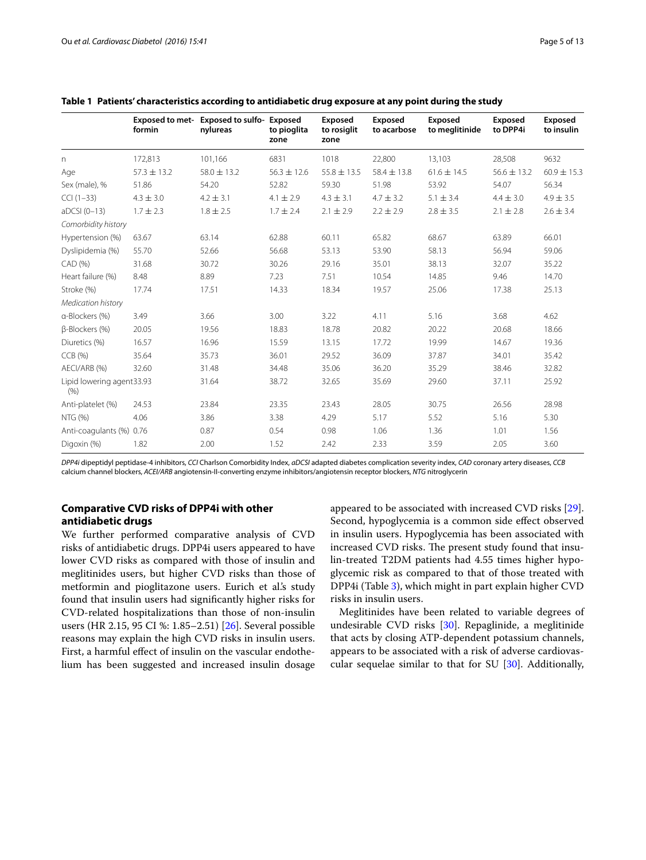| i uge J Ui |  |
|------------|--|
|            |  |
|            |  |

|                                   | formin          | Exposed to met- Exposed to sulfo- Exposed<br>nylureas | to pioglita<br>zone | Exposed<br>to rosiglit<br>zone | Exposed<br>to acarbose | <b>Exposed</b><br>to meglitinide | Exposed<br>to DPP4i | Exposed<br>to insulin |
|-----------------------------------|-----------------|-------------------------------------------------------|---------------------|--------------------------------|------------------------|----------------------------------|---------------------|-----------------------|
| n                                 | 172,813         | 101,166                                               | 6831                | 1018                           | 22,800                 | 13,103                           | 28,508              | 9632                  |
| Age                               | $57.3 \pm 13.2$ | $58.0 \pm 13.2$                                       | $56.3 \pm 12.6$     | $55.8 \pm 13.5$                | $58.4 \pm 13.8$        | $61.6 \pm 14.5$                  | $56.6 \pm 13.2$     | $60.9 \pm 15.3$       |
| Sex (male), %                     | 51.86           | 54.20                                                 | 52.82               | 59.30                          | 51.98                  | 53.92                            | 54.07               | 56.34                 |
| $CCI (1-33)$                      | $4.3 \pm 3.0$   | $4.2 \pm 3.1$                                         | $4.1 \pm 2.9$       | $4.3 \pm 3.1$                  | $4.7 \pm 3.2$          | $5.1 \pm 3.4$                    | $4.4 \pm 3.0$       | $4.9 \pm 3.5$         |
| $aDCSI(0-13)$                     | $1.7 \pm 2.3$   | $1.8 \pm 2.5$                                         | $1.7 \pm 2.4$       | $2.1 \pm 2.9$                  | $2.2 \pm 2.9$          | $2.8 \pm 3.5$                    | $2.1 \pm 2.8$       | $2.6 \pm 3.4$         |
| Comorbidity history               |                 |                                                       |                     |                                |                        |                                  |                     |                       |
| Hypertension (%)                  | 63.67           | 63.14                                                 | 62.88               | 60.11                          | 65.82                  | 68.67                            | 63.89               | 66.01                 |
| Dyslipidemia (%)                  | 55.70           | 52.66                                                 | 56.68               | 53.13                          | 53.90                  | 58.13                            | 56.94               | 59.06                 |
| CAD (%)                           | 31.68           | 30.72                                                 | 30.26               | 29.16                          | 35.01                  | 38.13                            | 32.07               | 35.22                 |
| Heart failure (%)                 | 8.48            | 8.89                                                  | 7.23                | 7.51                           | 10.54                  | 14.85                            | 9.46                | 14.70                 |
| Stroke (%)                        | 17.74           | 17.51                                                 | 14.33               | 18.34                          | 19.57                  | 25.06                            | 17.38               | 25.13                 |
| Medication history                |                 |                                                       |                     |                                |                        |                                  |                     |                       |
| a-Blockers (%)                    | 3.49            | 3.66                                                  | 3.00                | 3.22                           | 4.11                   | 5.16                             | 3.68                | 4.62                  |
| B-Blockers (%)                    | 20.05           | 19.56                                                 | 18.83               | 18.78                          | 20.82                  | 20.22                            | 20.68               | 18.66                 |
| Diuretics (%)                     | 16.57           | 16.96                                                 | 15.59               | 13.15                          | 17.72                  | 19.99                            | 14.67               | 19.36                 |
| CCB(%)                            | 35.64           | 35.73                                                 | 36.01               | 29.52                          | 36.09                  | 37.87                            | 34.01               | 35.42                 |
| AECI/ARB (%)                      | 32.60           | 31.48                                                 | 34.48               | 35.06                          | 36.20                  | 35.29                            | 38.46               | 32.82                 |
| Lipid lowering agent33.93<br>(% ) |                 | 31.64                                                 | 38.72               | 32.65                          | 35.69                  | 29.60                            | 37.11               | 25.92                 |
| Anti-platelet (%)                 | 24.53           | 23.84                                                 | 23.35               | 23.43                          | 28.05                  | 30.75                            | 26.56               | 28.98                 |
| NTG (%)                           | 4.06            | 3.86                                                  | 3.38                | 4.29                           | 5.17                   | 5.52                             | 5.16                | 5.30                  |
| Anti-coagulants (%) 0.76          |                 | 0.87                                                  | 0.54                | 0.98                           | 1.06                   | 1.36                             | 1.01                | 1.56                  |
| Digoxin (%)                       | 1.82            | 2.00                                                  | 1.52                | 2.42                           | 2.33                   | 3.59                             | 2.05                | 3.60                  |

# <span id="page-4-0"></span>**Table 1 Patients' characteristics according to antidiabetic drug exposure at any point during the study**

*DPP4i* dipeptidyl peptidase-4 inhibitors, *CCI* Charlson Comorbidity Index, *aDCSI* adapted diabetes complication severity index, *CAD* coronary artery diseases, *CCB* calcium channel blockers, *ACEI/ARB* angiotensin-II-converting enzyme inhibitors/angiotensin receptor blockers, *NTG* nitroglycerin

# **Comparative CVD risks of DPP4i with other antidiabetic drugs**

We further performed comparative analysis of CVD risks of antidiabetic drugs. DPP4i users appeared to have lower CVD risks as compared with those of insulin and meglitinides users, but higher CVD risks than those of metformin and pioglitazone users. Eurich et al.'s study found that insulin users had significantly higher risks for CVD-related hospitalizations than those of non-insulin users (HR 2.15, 95 CI %: 1.85–2.51) [[26](#page-12-9)]. Several possible reasons may explain the high CVD risks in insulin users. First, a harmful effect of insulin on the vascular endothelium has been suggested and increased insulin dosage appeared to be associated with increased CVD risks [\[29](#page-12-13)]. Second, hypoglycemia is a common side effect observed in insulin users. Hypoglycemia has been associated with increased CVD risks. The present study found that insulin-treated T2DM patients had 4.55 times higher hypoglycemic risk as compared to that of those treated with DPP4i (Table [3\)](#page-6-0), which might in part explain higher CVD risks in insulin users.

Meglitinides have been related to variable degrees of undesirable CVD risks [[30\]](#page-12-14). Repaglinide, a meglitinide that acts by closing ATP-dependent potassium channels, appears to be associated with a risk of adverse cardiovascular sequelae similar to that for SU [\[30\]](#page-12-14). Additionally,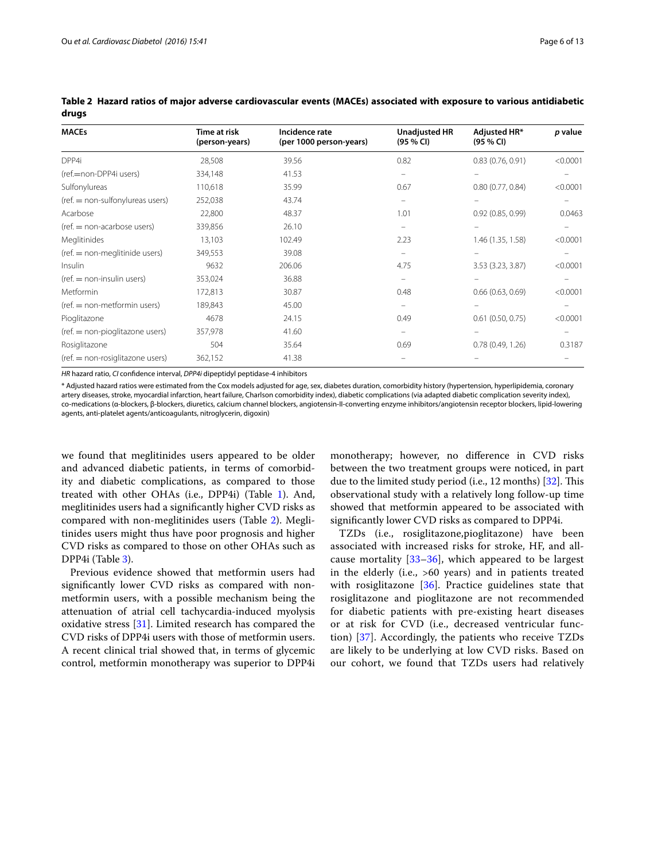| <b>MACEs</b>                     | Time at risk<br>(person-years) | Incidence rate<br>(per 1000 person-years) | <b>Unadjusted HR</b><br>(95 % CI) | Adjusted HR*<br>(95 % CI) | p value  |
|----------------------------------|--------------------------------|-------------------------------------------|-----------------------------------|---------------------------|----------|
| DPP4i                            | 28,508                         | 39.56                                     | 0.82                              | 0.83(0.76, 0.91)          | < 0.0001 |
| (ref.=non-DPP4i users)           | 334,148                        | 41.53                                     |                                   |                           |          |
| Sulfonylureas                    | 110,618                        | 35.99                                     | 0.67                              | 0.80(0.77, 0.84)          | < 0.0001 |
| (ref. = non-sulfonylureas users) | 252,038                        | 43.74                                     |                                   |                           |          |
| Acarbose                         | 22,800                         | 48.37                                     | 1.01                              | 0.92(0.85, 0.99)          | 0.0463   |
| (ref. = non-acarbose users)      | 339,856                        | 26.10                                     |                                   |                           |          |
| Meglitinides                     | 13,103                         | 102.49                                    | 2.23                              | 1.46 (1.35, 1.58)         | < 0.0001 |
| (ref. = non-meglitinide users)   | 349,553                        | 39.08                                     |                                   |                           |          |
| Insulin                          | 9632                           | 206.06                                    | 4.75                              | 3.53 (3.23, 3.87)         | < 0.0001 |
| (ref. = non-insulin users)       | 353,024                        | 36.88                                     |                                   |                           |          |
| Metformin                        | 172,813                        | 30.87                                     | 0.48                              | 0.66(0.63, 0.69)          | < 0.0001 |
| $ref. = non-metformin users)$    | 189,843                        | 45.00                                     |                                   |                           |          |
| Pioglitazone                     | 4678                           | 24.15                                     | 0.49                              | $0.61$ (0.50, 0.75)       | < 0.0001 |
| (ref. = non-pioglitazone users)  | 357,978                        | 41.60                                     |                                   |                           |          |
| Rosiglitazone                    | 504                            | 35.64                                     | 0.69                              | 0.78(0.49, 1.26)          | 0.3187   |
| (ref. = non-rosiglitazone users) | 362,152                        | 41.38                                     |                                   |                           |          |

<span id="page-5-0"></span>**Table 2 Hazard ratios of major adverse cardiovascular events (MACEs) associated with exposure to various antidiabetic drugs**

*HR* hazard ratio, *CI* confidence interval, *DPP4i* dipeptidyl peptidase-4 inhibitors

\* Adjusted hazard ratios were estimated from the Cox models adjusted for age, sex, diabetes duration, comorbidity history (hypertension, hyperlipidemia, coronary artery diseases, stroke, myocardial infarction, heart failure, Charlson comorbidity index), diabetic complications (via adapted diabetic complication severity index), co-medications (α-blockers, β-blockers, diuretics, calcium channel blockers, angiotensin-II-converting enzyme inhibitors/angiotensin receptor blockers, lipid-lowering agents, anti-platelet agents/anticoagulants, nitroglycerin, digoxin)

we found that meglitinides users appeared to be older and advanced diabetic patients, in terms of comorbidity and diabetic complications, as compared to those treated with other OHAs (i.e., DPP4i) (Table [1\)](#page-4-0). And, meglitinides users had a significantly higher CVD risks as compared with non-meglitinides users (Table [2\)](#page-5-0). Meglitinides users might thus have poor prognosis and higher CVD risks as compared to those on other OHAs such as DPP4i (Table [3\)](#page-6-0).

Previous evidence showed that metformin users had significantly lower CVD risks as compared with nonmetformin users, with a possible mechanism being the attenuation of atrial cell tachycardia-induced myolysis oxidative stress [[31\]](#page-12-15). Limited research has compared the CVD risks of DPP4i users with those of metformin users. A recent clinical trial showed that, in terms of glycemic control, metformin monotherapy was superior to DPP4i

monotherapy; however, no difference in CVD risks between the two treatment groups were noticed, in part due to the limited study period (i.e., 12 months) [[32](#page-12-16)]. This observational study with a relatively long follow-up time showed that metformin appeared to be associated with significantly lower CVD risks as compared to DPP4i.

TZDs (i.e., rosiglitazone,pioglitazone) have been associated with increased risks for stroke, HF, and allcause mortality [[33–](#page-12-17)[36\]](#page-12-18), which appeared to be largest in the elderly (i.e., >60 years) and in patients treated with rosiglitazone [[36\]](#page-12-18). Practice guidelines state that rosiglitazone and pioglitazone are not recommended for diabetic patients with pre-existing heart diseases or at risk for CVD (i.e., decreased ventricular function) [[37\]](#page-12-19). Accordingly, the patients who receive TZDs are likely to be underlying at low CVD risks. Based on our cohort, we found that TZDs users had relatively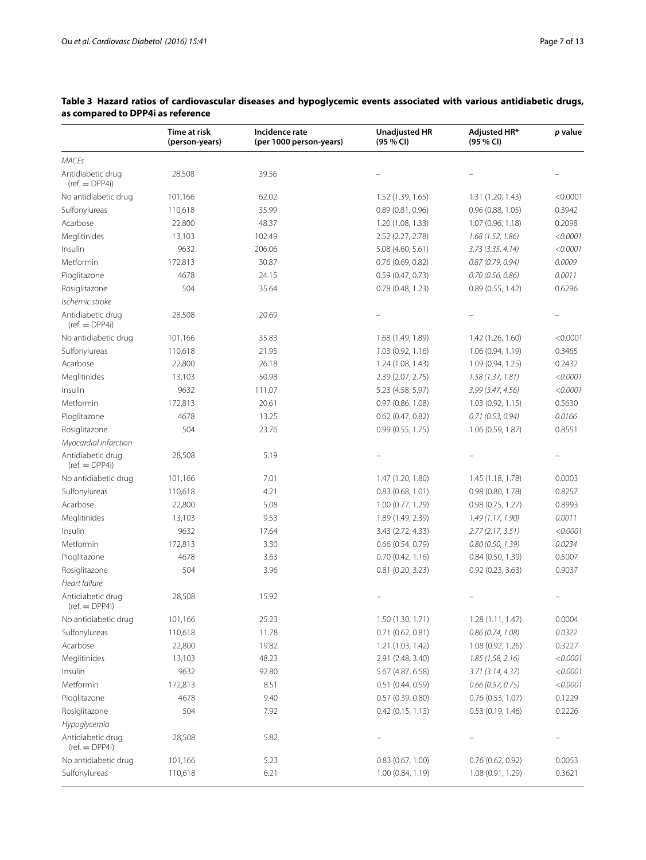|                                                     | Time at risk<br>(person-years) | Incidence rate<br>(per 1000 person-years) | <b>Unadjusted HR</b><br>(95 % CI) | Adjusted HR*<br>(95 % CI) | $p$ value                |
|-----------------------------------------------------|--------------------------------|-------------------------------------------|-----------------------------------|---------------------------|--------------------------|
| <b>MACEs</b>                                        |                                |                                           |                                   |                           |                          |
| Antidiabetic drug<br>$(ref. = DPP4i)$               | 28,508                         | 39.56                                     |                                   |                           |                          |
| No antidiabetic drug                                | 101,166                        | 62.02                                     | 1.52 (1.39, 1.65)                 | 1.31 (1.20, 1.43)         | < 0.0001                 |
| Sulfonylureas                                       | 110,618                        | 35.99                                     | 0.89(0.81, 0.96)                  | 0.96(0.88, 1.05)          | 0.3942                   |
| Acarbose                                            | 22,800                         | 48.37                                     | 1.20 (1.08, 1.33)                 | 1.07(0.96, 1.18)          | 0.2098                   |
| Meglitinides                                        | 13,103                         | 102.49                                    | 2.52 (2.27, 2.78)                 | 1.68(1.52, 1.86)          | < 0.0001                 |
| Insulin                                             | 9632                           | 206.06                                    | 5.08 (4.60, 5.61)                 | 3.73(3.35, 4.14)          | < 0.0001                 |
| Metformin                                           | 172,813                        | 30.87                                     | 0.76(0.69, 0.82)                  | 0.87(0.79, 0.94)          | 0.0009                   |
| Pioglitazone                                        | 4678                           | 24.15                                     | 0.59(0.47, 0.73)                  | 0.70(0.56, 0.86)          | 0.0011                   |
| Rosiglitazone                                       | 504                            | 35.64                                     | 0.78(0.48, 1.23)                  | 0.89(0.55, 1.42)          | 0.6296                   |
| Ischemic stroke                                     |                                |                                           |                                   |                           |                          |
| Antidiabetic drug<br>$(ref. = DPP4i)$               | 28,508                         | 20.69                                     |                                   |                           |                          |
| No antidiabetic drug                                | 101,166                        | 35.83                                     | 1.68 (1.49, 1.89)                 | 1.42 (1.26, 1.60)         | < 0.0001                 |
| Sulfonylureas                                       | 110,618                        | 21.95                                     | 1.03(0.92, 1.16)                  | 1.06(0.94, 1.19)          | 0.3465                   |
| Acarbose                                            | 22,800                         | 26.18                                     | 1.24 (1.08, 1.43)                 | 1.09 (0.94, 1.25)         | 0.2432                   |
| Meglitinides                                        | 13,103                         | 50.98                                     | 2.39 (2.07, 2.75)                 | 1.58(1.37, 1.81)          | < 0.0001                 |
| Insulin                                             | 9632                           | 111.07                                    | 5.23 (4.58, 5.97)                 | 3.99(3.47, 4.56)          | < 0.0001                 |
| Metformin                                           | 172,813                        | 20.61                                     | 0.97(0.86, 1.08)                  | 1.03(0.92, 1.15)          | 0.5630                   |
| Pioglitazone                                        | 4678                           | 13.25                                     | $0.62$ (0.47, 0.82)               | 0.71(0.53, 0.94)          | 0.0166                   |
| Rosiglitazone                                       | 504                            | 23.76                                     | 0.99(0.55, 1.75)                  | 1.06 (0.59, 1.87)         | 0.8551                   |
| Myocardial infarction                               |                                |                                           |                                   |                           |                          |
| Antidiabetic drug<br>$(ref. = DPP4i)$               | 28,508                         | 5.19                                      |                                   |                           |                          |
| No antidiabetic drug                                | 101,166                        | 7.01                                      | 1.47 (1.20, 1.80)                 | 1.45 (1.18, 1.78)         | 0.0003                   |
| Sulfonylureas                                       | 110,618                        | 4.21                                      | 0.83(0.68, 1.01)                  | 0.98(0.80, 1.78)          | 0.8257                   |
| Acarbose                                            | 22,800                         | 5.08                                      | 1.00 (0.77, 1.29)                 | 0.98(0.75, 1.27)          | 0.8993                   |
| Meglitinides                                        | 13,103                         | 9.53                                      | 1.89 (1.49, 2.39)                 | 1.49(1.17, 1.90)          | 0.0011                   |
| Insulin                                             | 9632                           | 17.64                                     | 3.43 (2.72, 4.33)                 | 2.77(2.17, 3.51)          | < 0.0001                 |
| Metformin                                           | 172,813                        | 3.30                                      | 0.66(0.54, 0.79)                  | 0.80(0.50, 1.39)          | 0.0234                   |
| Pioglitazone                                        | 4678                           | 3.63                                      | 0.70(0.42, 1.16)                  | 0.84 (0.50, 1.39)         | 0.5007                   |
| Rosiglitazone<br>Heart failure                      | 504                            | 3.96                                      | 0.81 (0.20, 3.23)                 | 0.92 (0.23, 3.63)         | 0.9037                   |
| Antidiabetic drug<br>$(ref. = DPP4i)$               | 28,508                         | 15.92                                     |                                   |                           |                          |
| No antidiabetic drug                                | 101,166                        | 25.23                                     | 1.50 (1.30, 1.71)                 | 1.28(1.11, 1.47)          | 0.0004                   |
| Sulfonylureas                                       | 110,618                        | 11.78                                     | 0.71(0.62, 0.81)                  | 0.86(0.74, 1.08)          | 0.0322                   |
| Acarbose                                            | 22,800                         | 19.82                                     | 1.21 (1.03, 1.42)                 | 1.08 (0.92, 1.26)         | 0.3227                   |
| Meglitinides                                        | 13,103                         | 48.23                                     | 2.91 (2.48, 3.40)                 | 1.85(1.58, 2.16)          | < 0.0001                 |
| Insulin                                             | 9632                           | 92.80                                     | 5.67 (4.87, 6.58)                 | 3.71(3.14, 4.37)          | < 0.0001                 |
| Metformin                                           | 172,813                        | 8.51                                      | 0.51(0.44, 0.59)                  | 0.66(0.57, 0.75)          | < 0.0001                 |
| Pioglitazone                                        | 4678                           | 9.40                                      | 0.57(0.39, 0.80)                  | 0.76(0.53, 1.07)          | 0.1229                   |
| Rosiglitazone                                       | 504                            | 7.92                                      | 0.42(0.15, 1.13)                  | 0.53(0.19, 1.46)          | 0.2226                   |
| Hypoglycemia                                        |                                |                                           |                                   |                           |                          |
| Antidiabetic drug<br>$(\text{ref.} = \text{DPP4i})$ | 28,508                         | 5.82                                      |                                   |                           | $\overline{\phantom{0}}$ |
| No antidiabetic drug                                | 101,166                        | 5.23                                      | 0.83(0.67, 1.00)                  | 0.76 (0.62, 0.92)         | 0.0053                   |
| Sulfonylureas                                       | 110,618                        | 6.21                                      | 1.00 (0.84, 1.19)                 | 1.08 (0.91, 1.29)         | 0.3621                   |

# <span id="page-6-0"></span>**Table 3 Hazard ratios of cardiovascular diseases and hypoglycemic events associated with various antidiabetic drugs, as compared to DPP4i as reference**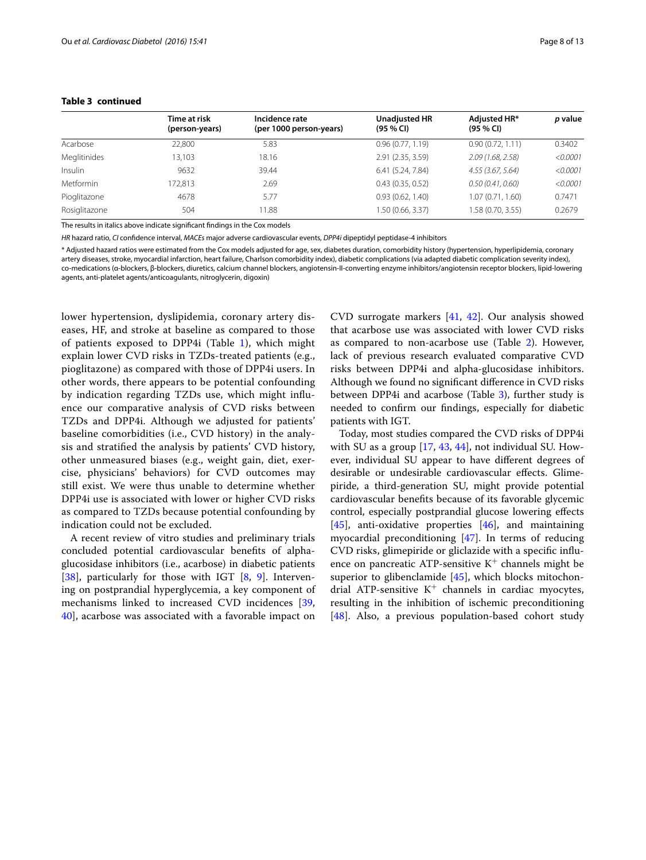#### **Table 3 continued**

|                  | Time at risk<br>(person-years) | Incidence rate<br>(per 1000 person-years) | <b>Unadjusted HR</b><br>$(95 \% Cl)$ | Adjusted HR*<br>(95 % CI) | p value  |
|------------------|--------------------------------|-------------------------------------------|--------------------------------------|---------------------------|----------|
| Acarbose         | 22.800                         | 5.83                                      | 0.96(0.77, 1.19)                     | 0.90(0.72, 1.11)          | 0.3402   |
| Meglitinides     | 13,103                         | 18.16                                     | 2.91 (2.35, 3.59)                    | 2.09(1.68, 2.58)          | < 0.0001 |
| Insulin          | 9632                           | 39.44                                     | 6.41(5.24, 7.84)                     | 4.55(3.67, 5.64)          | < 0.0001 |
| <b>Metformin</b> | 172.813                        | 2.69                                      | 0.43(0.35, 0.52)                     | 0.50(0.41, 0.60)          | < 0.0001 |
| Pioglitazone     | 4678                           | 5.77                                      | 0.93(0.62, 1.40)                     | 1.07 (0.71, 1.60)         | 0.7471   |
| Rosiglitazone    | 504                            | 11.88                                     | 1.50 (0.66, 3.37)                    | 1.58 (0.70, 3.55)         | 0.2679   |

The results in italics above indicate significant findings in the Cox models

*HR* hazard ratio, *CI* confidence interval, *MACEs* major adverse cardiovascular events, *DPP4i* dipeptidyl peptidase-4 inhibitors

\* Adjusted hazard ratios were estimated from the Cox models adjusted for age, sex, diabetes duration, comorbidity history (hypertension, hyperlipidemia, coronary artery diseases, stroke, myocardial infarction, heart failure, Charlson comorbidity index), diabetic complications (via adapted diabetic complication severity index), co-medications (α-blockers, β-blockers, diuretics, calcium channel blockers, angiotensin-II-converting enzyme inhibitors/angiotensin receptor blockers, lipid-lowering agents, anti-platelet agents/anticoagulants, nitroglycerin, digoxin)

lower hypertension, dyslipidemia, coronary artery diseases, HF, and stroke at baseline as compared to those of patients exposed to DPP4i (Table [1\)](#page-4-0), which might explain lower CVD risks in TZDs-treated patients (e.g., pioglitazone) as compared with those of DPP4i users. In other words, there appears to be potential confounding by indication regarding TZDs use, which might influence our comparative analysis of CVD risks between TZDs and DPP4i. Although we adjusted for patients' baseline comorbidities (i.e., CVD history) in the analysis and stratified the analysis by patients' CVD history, other unmeasured biases (e.g., weight gain, diet, exercise, physicians' behaviors) for CVD outcomes may still exist. We were thus unable to determine whether DPP4i use is associated with lower or higher CVD risks as compared to TZDs because potential confounding by indication could not be excluded.

A recent review of vitro studies and preliminary trials concluded potential cardiovascular benefits of alphaglucosidase inhibitors (i.e., acarbose) in diabetic patients [[38\]](#page-12-20), particularly for those with IGT [[8,](#page-11-7) [9\]](#page-11-8). Intervening on postprandial hyperglycemia, a key component of mechanisms linked to increased CVD incidences [\[39](#page-12-21), [40\]](#page-12-22), acarbose was associated with a favorable impact on

CVD surrogate markers [\[41,](#page-12-23) [42](#page-12-24)]. Our analysis showed that acarbose use was associated with lower CVD risks as compared to non-acarbose use (Table [2](#page-5-0)). However, lack of previous research evaluated comparative CVD risks between DPP4i and alpha-glucosidase inhibitors. Although we found no significant difference in CVD risks between DPP4i and acarbose (Table [3\)](#page-6-0), further study is needed to confirm our findings, especially for diabetic patients with IGT.

Today, most studies compared the CVD risks of DPP4i with SU as a group [[17,](#page-12-3) [43,](#page-12-25) [44\]](#page-12-26), not individual SU. However, individual SU appear to have different degrees of desirable or undesirable cardiovascular effects. Glimepiride, a third-generation SU, might provide potential cardiovascular benefits because of its favorable glycemic control, especially postprandial glucose lowering effects [[45\]](#page-12-27), anti-oxidative properties [\[46\]](#page-12-28), and maintaining myocardial preconditioning [\[47](#page-12-29)]. In terms of reducing CVD risks, glimepiride or gliclazide with a specific influence on pancreatic ATP-sensitive  $K^+$  channels might be superior to glibenclamide [\[45](#page-12-27)], which blocks mitochondrial ATP-sensitive  $K^+$  channels in cardiac myocytes, resulting in the inhibition of ischemic preconditioning [[48\]](#page-12-30). Also, a previous population-based cohort study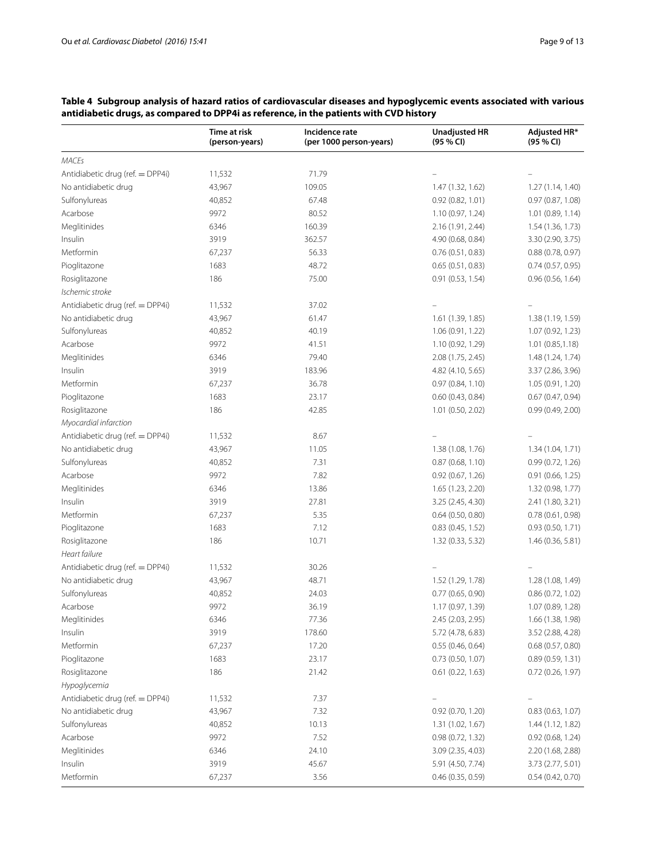|                                  | Time at risk<br>(person-years) | Incidence rate<br>(per 1000 person-years) | <b>Unadjusted HR</b><br>(95 % CI) | Adjusted HR*<br>(95 % CI) |
|----------------------------------|--------------------------------|-------------------------------------------|-----------------------------------|---------------------------|
| <b>MACEs</b>                     |                                |                                           |                                   |                           |
| Antidiabetic drug (ref. = DPP4i) | 11,532                         | 71.79                                     |                                   |                           |
| No antidiabetic drug             | 43,967                         | 109.05                                    | 1.47 (1.32, 1.62)                 | 1.27 (1.14, 1.40)         |
| Sulfonylureas                    | 40,852                         | 67.48                                     | 0.92(0.82, 1.01)                  | 0.97(0.87, 1.08)          |
| Acarbose                         | 9972                           | 80.52                                     | 1.10 (0.97, 1.24)                 | 1.01(0.89, 1.14)          |
| Meglitinides                     | 6346                           | 160.39                                    | 2.16 (1.91, 2.44)                 | 1.54 (1.36, 1.73)         |
| Insulin                          | 3919                           | 362.57                                    | 4.90 (0.68, 0.84)                 | 3.30 (2.90, 3.75)         |
| Metformin                        | 67,237                         | 56.33                                     | 0.76(0.51, 0.83)                  | 0.88(0.78, 0.97)          |
| Pioglitazone                     | 1683                           | 48.72                                     | 0.65(0.51, 0.83)                  | 0.74(0.57, 0.95)          |
| Rosiglitazone                    | 186                            | 75.00                                     | 0.91(0.53, 1.54)                  | 0.96(0.56, 1.64)          |
| Ischemic stroke                  |                                |                                           |                                   |                           |
| Antidiabetic drug (ref. = DPP4i) | 11,532                         | 37.02                                     |                                   |                           |
| No antidiabetic drug             | 43,967                         | 61.47                                     | 1.61 (1.39, 1.85)                 | 1.38 (1.19, 1.59)         |
| Sulfonylureas                    | 40,852                         | 40.19                                     | 1.06 (0.91, 1.22)                 | 1.07 (0.92, 1.23)         |
| Acarbose                         | 9972                           | 41.51                                     | 1.10 (0.92, 1.29)                 | 1.01(0.85, 1.18)          |
| Meglitinides                     | 6346                           | 79.40                                     | 2.08 (1.75, 2.45)                 | 1.48 (1.24, 1.74)         |
| Insulin                          | 3919                           | 183.96                                    | 4.82 (4.10, 5.65)                 | 3.37 (2.86, 3.96)         |
| Metformin                        | 67,237                         | 36.78                                     | 0.97(0.84, 1.10)                  | 1.05 (0.91, 1.20)         |
| Pioglitazone                     | 1683                           | 23.17                                     | 0.60(0.43, 0.84)                  | 0.67(0.47, 0.94)          |
| Rosiglitazone                    | 186                            | 42.85                                     | 1.01 (0.50, 2.02)                 | 0.99(0.49, 2.00)          |
| Myocardial infarction            |                                |                                           |                                   |                           |
| Antidiabetic drug (ref. = DPP4i) | 11,532                         | 8.67                                      |                                   |                           |
| No antidiabetic drug             | 43,967                         | 11.05                                     | 1.38 (1.08, 1.76)                 | 1.34 (1.04, 1.71)         |
| Sulfonylureas                    | 40,852                         | 7.31                                      | 0.87(0.68, 1.10)                  | 0.99(0.72, 1.26)          |
| Acarbose                         | 9972                           | 7.82                                      | 0.92(0.67, 1.26)                  | 0.91(0.66, 1.25)          |
| Meglitinides                     | 6346                           | 13.86                                     | 1.65 (1.23, 2.20)                 | 1.32 (0.98, 1.77)         |
| Insulin                          | 3919                           | 27.81                                     | 3.25 (2.45, 4.30)                 | 2.41 (1.80, 3.21)         |
| Metformin                        | 67,237                         | 5.35                                      | 0.64(0.50, 0.80)                  | 0.78(0.61, 0.98)          |
| Pioglitazone                     | 1683                           | 7.12                                      | 0.83(0.45, 1.52)                  | 0.93(0.50, 1.71)          |
| Rosiglitazone                    | 186                            | 10.71                                     | 1.32(0.33, 5.32)                  | 1.46(0.36, 5.81)          |
| Heart failure                    |                                |                                           |                                   |                           |
| Antidiabetic drug (ref. = DPP4i) | 11,532                         | 30.26                                     |                                   |                           |
| No antidiabetic drug             | 43,967                         | 48.71                                     | 1.52 (1.29, 1.78)                 | 1.28 (1.08, 1.49)         |
| Sulfonylureas                    | 40,852                         | 24.03                                     | 0.77(0.65, 0.90)                  | 0.86(0.72, 1.02)          |
| Acarbose                         | 9972                           | 36.19                                     | 1.17 (0.97, 1.39)                 | 1.07(0.89, 1.28)          |
| Meglitinides                     | 6346                           | 77.36                                     | 2.45 (2.03, 2.95)                 | 1.66 (1.38, 1.98)         |
| Insulin                          | 3919                           | 178.60                                    | 5.72 (4.78, 6.83)                 | 3.52 (2.88, 4.28)         |
| Metformin                        | 67,237                         | 17.20                                     | 0.55(0.46, 0.64)                  | 0.68(0.57, 0.80)          |
| Pioglitazone                     | 1683                           | 23.17                                     | 0.73(0.50, 1.07)                  | 0.89 (0.59, 1.31)         |
| Rosiglitazone                    | 186                            | 21.42                                     | 0.61(0.22, 1.63)                  | 0.72(0.26, 1.97)          |
| Hypoglycemia                     |                                |                                           |                                   |                           |
| Antidiabetic drug (ref. = DPP4i) | 11,532                         | 7.37                                      |                                   |                           |
| No antidiabetic drug             | 43,967                         | 7.32                                      | 0.92 (0.70, 1.20)                 | 0.83 (0.63, 1.07)         |
| Sulfonylureas                    | 40,852                         | 10.13                                     | 1.31 (1.02, 1.67)                 | 1.44 (1.12, 1.82)         |
| Acarbose                         | 9972                           | 7.52                                      | 0.98(0.72, 1.32)                  | 0.92(0.68, 1.24)          |
| Meglitinides                     | 6346                           | 24.10                                     | 3.09 (2.35, 4.03)                 | 2.20 (1.68, 2.88)         |
| Insulin                          | 3919                           | 45.67                                     | 5.91 (4.50, 7.74)                 | 3.73 (2.77, 5.01)         |
| Metformin                        | 67,237                         | 3.56                                      | 0.46(0.35, 0.59)                  | 0.54(0.42, 0.70)          |

# <span id="page-8-0"></span>**Table 4 Subgroup analysis of hazard ratios of cardiovascular diseases and hypoglycemic events associated with various antidiabetic drugs, as compared to DPP4i as reference, in the patients with CVD history**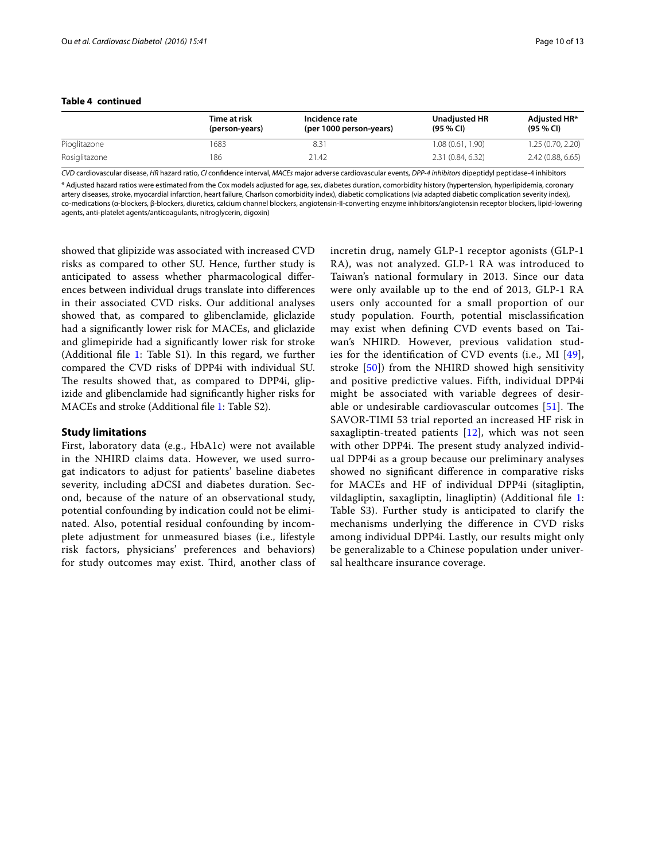## **Table 4 continued**

|               | Time at risk<br>(person-years) | Incidence rate<br>(per 1000 person-years) | Unadjusted HR<br>(95 % C) | Adiusted HR*<br>$(95\%$ CI) |
|---------------|--------------------------------|-------------------------------------------|---------------------------|-----------------------------|
| Pioglitazone  | 1683                           | 8.31                                      | 1.08 (0.61, 1.90)         | 1.25 (0.70, 2.20)           |
| Rosiglitazone | 186                            | 21.42                                     | 2.31 (0.84, 6.32)         | 2.42(0.88, 6.65)            |

*CVD* cardiovascular disease, *HR* hazard ratio, *CI* confidence interval, *MACEs* major adverse cardiovascular events, *DPP-4 inhibitors* dipeptidyl peptidase-4 inhibitors \* Adjusted hazard ratios were estimated from the Cox models adjusted for age, sex, diabetes duration, comorbidity history (hypertension, hyperlipidemia, coronary artery diseases, stroke, myocardial infarction, heart failure, Charlson comorbidity index), diabetic complications (via adapted diabetic complication severity index), co-medications (α-blockers, β-blockers, diuretics, calcium channel blockers, angiotensin-II-converting enzyme inhibitors/angiotensin receptor blockers, lipid-lowering agents, anti-platelet agents/anticoagulants, nitroglycerin, digoxin)

showed that glipizide was associated with increased CVD risks as compared to other SU. Hence, further study is anticipated to assess whether pharmacological differences between individual drugs translate into differences in their associated CVD risks. Our additional analyses showed that, as compared to glibenclamide, gliclazide had a significantly lower risk for MACEs, and gliclazide and glimepiride had a significantly lower risk for stroke (Additional file [1:](#page-11-13) Table S1). In this regard, we further compared the CVD risks of DPP4i with individual SU. The results showed that, as compared to DPP4i, glipizide and glibenclamide had significantly higher risks for MACEs and stroke (Additional file [1](#page-11-13): Table S2).

## **Study limitations**

First, laboratory data (e.g., HbA1c) were not available in the NHIRD claims data. However, we used surrogat indicators to adjust for patients' baseline diabetes severity, including aDCSI and diabetes duration. Second, because of the nature of an observational study, potential confounding by indication could not be eliminated. Also, potential residual confounding by incomplete adjustment for unmeasured biases (i.e., lifestyle risk factors, physicians' preferences and behaviors) for study outcomes may exist. Third, another class of incretin drug, namely GLP-1 receptor agonists (GLP-1 RA), was not analyzed. GLP-1 RA was introduced to Taiwan's national formulary in 2013. Since our data were only available up to the end of 2013, GLP-1 RA users only accounted for a small proportion of our study population. Fourth, potential misclassification may exist when defining CVD events based on Taiwan's NHIRD. However, previous validation studies for the identification of CVD events (i.e., MI [[49](#page-12-31)], stroke [[50](#page-12-32)]) from the NHIRD showed high sensitivity and positive predictive values. Fifth, individual DPP4i might be associated with variable degrees of desirable or undesirable cardiovascular outcomes [[51\]](#page-12-33). The SAVOR-TIMI 53 trial reported an increased HF risk in saxagliptin-treated patients  $[12]$ , which was not seen with other DPP4i. The present study analyzed individual DPP4i as a group because our preliminary analyses showed no significant difference in comparative risks for MACEs and HF of individual DPP4i (sitagliptin, vildagliptin, saxagliptin, linagliptin) (Additional file [1](#page-11-13): Table S3). Further study is anticipated to clarify the mechanisms underlying the difference in CVD risks among individual DPP4i. Lastly, our results might only be generalizable to a Chinese population under universal healthcare insurance coverage.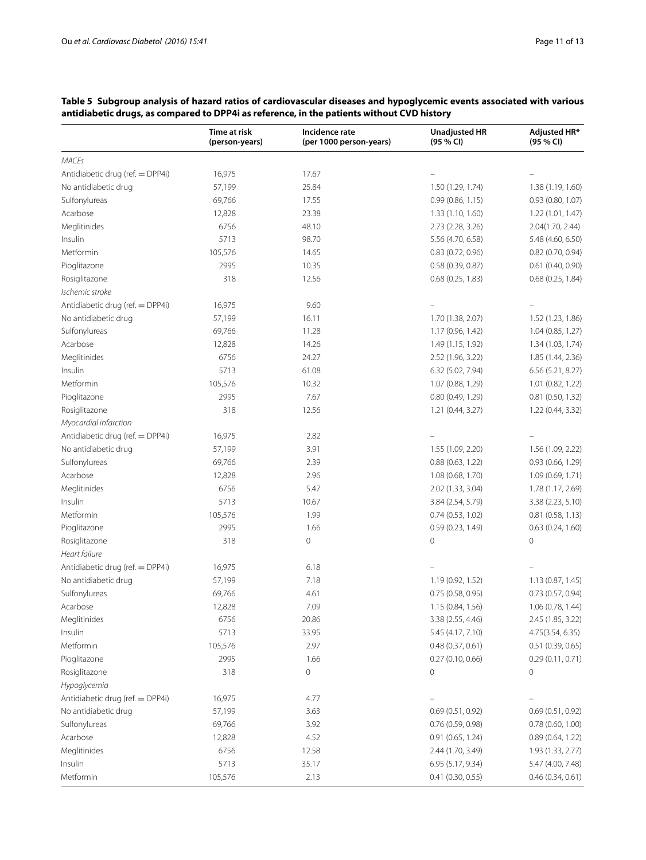|                                  | Time at risk<br>(person-years) | Incidence rate<br>(per 1000 person-years) | <b>Unadjusted HR</b><br>(95 % CI) | Adjusted HR*<br>(95 % CI) |
|----------------------------------|--------------------------------|-------------------------------------------|-----------------------------------|---------------------------|
| <b>MACEs</b>                     |                                |                                           |                                   |                           |
| Antidiabetic drug (ref. = DPP4i) | 16,975                         | 17.67                                     |                                   |                           |
| No antidiabetic drug             | 57,199                         | 25.84                                     | 1.50 (1.29, 1.74)                 | 1.38 (1.19, 1.60)         |
| Sulfonylureas                    | 69,766                         | 17.55                                     | 0.99(0.86, 1.15)                  | 0.93 (0.80, 1.07)         |
| Acarbose                         | 12,828                         | 23.38                                     | 1.33 (1.10, 1.60)                 | 1.22(1.01, 1.47)          |
| Meglitinides                     | 6756                           | 48.10                                     | 2.73 (2.28, 3.26)                 | 2.04(1.70, 2.44)          |
| Insulin                          | 5713                           | 98.70                                     | 5.56 (4.70, 6.58)                 | 5.48 (4.60, 6.50)         |
| Metformin                        | 105,576                        | 14.65                                     | 0.83(0.72, 0.96)                  | $0.82$ (0.70, 0.94)       |
| Pioglitazone                     | 2995                           | 10.35                                     | 0.58(0.39, 0.87)                  | 0.61(0.40, 0.90)          |
| Rosiglitazone                    | 318                            | 12.56                                     | 0.68(0.25, 1.83)                  | 0.68(0.25, 1.84)          |
| Ischemic stroke                  |                                |                                           |                                   |                           |
| Antidiabetic drug (ref. = DPP4i) | 16,975                         | 9.60                                      |                                   |                           |
| No antidiabetic drug             | 57,199                         | 16.11                                     | 1.70 (1.38, 2.07)                 | 1.52 (1.23, 1.86)         |
| Sulfonylureas                    | 69,766                         | 11.28                                     | 1.17 (0.96, 1.42)                 | 1.04 (0.85, 1.27)         |
| Acarbose                         | 12,828                         | 14.26                                     | 1.49 (1.15, 1.92)                 | 1.34 (1.03, 1.74)         |
| Meglitinides                     | 6756                           | 24.27                                     | 2.52 (1.96, 3.22)                 | 1.85 (1.44, 2.36)         |
| Insulin                          | 5713                           | 61.08                                     | 6.32 (5.02, 7.94)                 | 6.56 (5.21, 8.27)         |
| Metformin                        | 105,576                        | 10.32                                     | 1.07 (0.88, 1.29)                 | 1.01 (0.82, 1.22)         |
| Pioglitazone                     | 2995                           | 7.67                                      | 0.80(0.49, 1.29)                  | $0.81$ (0.50, 1.32)       |
| Rosiglitazone                    | 318                            | 12.56                                     | 1.21 (0.44, 3.27)                 | 1.22 (0.44, 3.32)         |
| Myocardial infarction            |                                |                                           |                                   |                           |
| Antidiabetic drug (ref. = DPP4i) | 16,975                         | 2.82                                      |                                   |                           |
| No antidiabetic drug             | 57,199                         | 3.91                                      | 1.55 (1.09, 2.20)                 | 1.56 (1.09, 2.22)         |
| Sulfonylureas                    | 69,766                         | 2.39                                      | 0.88(0.63, 1.22)                  | 0.93(0.66, 1.29)          |
| Acarbose                         | 12,828                         | 2.96                                      | 1.08 (0.68, 1.70)                 | 1.09 (0.69, 1.71)         |
| Meglitinides                     | 6756                           | 5.47                                      | 2.02 (1.33, 3.04)                 | 1.78 (1.17, 2.69)         |
| Insulin                          | 5713                           | 10.67                                     | 3.84 (2.54, 5.79)                 | 3.38 (2.23, 5.10)         |
| Metformin                        | 105,576                        | 1.99                                      | 0.74(0.53, 1.02)                  | 0.81(0.58, 1.13)          |
| Pioglitazone                     | 2995                           | 1.66                                      | 0.59(0.23, 1.49)                  | 0.63(0.24, 1.60)          |
| Rosiglitazone                    | 318                            | 0                                         | 0                                 | 0                         |
| Heart failure                    |                                |                                           |                                   |                           |
| Antidiabetic drug (ref. = DPP4i) | 16,975                         | 6.18                                      |                                   |                           |
| No antidiabetic drug             | 57,199                         | 7.18                                      | 1.19 (0.92, 1.52)                 | 1.13 (0.87, 1.45)         |
| Sulfonylureas                    | 69,766                         | 4.61                                      | 0.75 (0.58, 0.95)                 | 0.73(0.57, 0.94)          |
| Acarbose                         | 12,828                         | 7.09                                      | 1.15 (0.84, 1.56)                 | 1.06 (0.78, 1.44)         |
| Meglitinides                     | 6756                           | 20.86                                     | 3.38 (2.55, 4.46)                 | 2.45 (1.85, 3.22)         |
| Insulin                          | 5713                           | 33.95                                     | 5.45 (4.17, 7.10)                 | 4.75(3.54, 6.35)          |
| Metformin                        | 105,576                        | 2.97                                      | 0.48(0.37, 0.61)                  | 0.51(0.39, 0.65)          |
| Pioglitazone                     | 2995                           | 1.66                                      | 0.27(0.10, 0.66)                  | 0.29(0.11, 0.71)          |
| Rosiglitazone                    | 318                            | $\mathbf 0$                               | 0                                 | 0                         |
| Hypoglycemia                     |                                |                                           |                                   |                           |
| Antidiabetic drug (ref. = DPP4i) | 16,975                         | 4.77                                      |                                   |                           |
| No antidiabetic drug             | 57,199                         | 3.63                                      | 0.69(0.51, 0.92)                  | 0.69(0.51, 0.92)          |
| Sulfonylureas                    | 69,766                         | 3.92                                      | 0.76(0.59, 0.98)                  | 0.78(0.60, 1.00)          |
| Acarbose                         | 12,828                         | 4.52                                      | 0.91 (0.65, 1.24)                 | 0.89(0.64, 1.22)          |
| Meglitinides                     | 6756                           | 12.58                                     | 2.44 (1.70, 3.49)                 | 1.93 (1.33, 2.77)         |
| Insulin                          | 5713                           | 35.17                                     | 6.95 (5.17, 9.34)                 | 5.47 (4.00, 7.48)         |
| Metformin                        | 105,576                        | 2.13                                      | 0.41(0.30, 0.55)                  | 0.46(0.34, 0.61)          |

# <span id="page-10-0"></span>**Table 5 Subgroup analysis of hazard ratios of cardiovascular diseases and hypoglycemic events associated with various antidiabetic drugs, as compared to DPP4i as reference, in the patients without CVD history**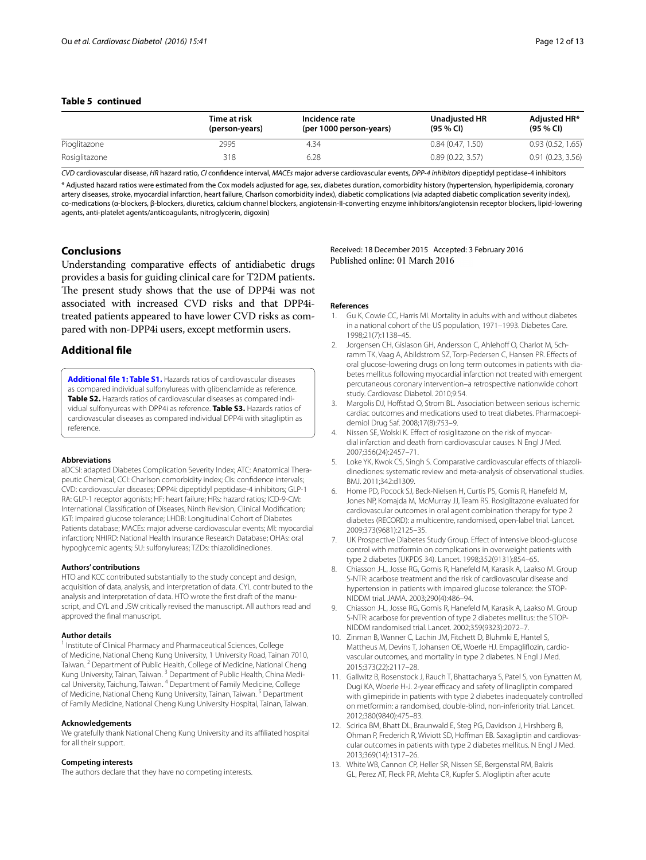# **Table 5 continued**

|               | Time at risk<br>(person-years) | Incidence rate<br>(per 1000 person-years) | Unadjusted HR<br>(95 % C) | Adjusted HR*<br>$(95\%$ CI) |
|---------------|--------------------------------|-------------------------------------------|---------------------------|-----------------------------|
| Pioglitazone  | 2995                           | 4.34                                      | 0.84(0.47, 1.50)          | 0.93(0.52, 1.65)            |
| Rosiglitazone | 318                            | 6.28                                      | 0.89(0.22, 3.57)          | 0.91(0.23, 3.56)            |

*CVD* cardiovascular disease, *HR* hazard ratio, *CI* confidence interval, *MACEs* major adverse cardiovascular events, *DPP-4 inhibitors* dipeptidyl peptidase-4 inhibitors

\* Adjusted hazard ratios were estimated from the Cox models adjusted for age, sex, diabetes duration, comorbidity history (hypertension, hyperlipidemia, coronary artery diseases, stroke, myocardial infarction, heart failure, Charlson comorbidity index), diabetic complications (via adapted diabetic complication severity index), co-medications (α-blockers, β-blockers, diuretics, calcium channel blockers, angiotensin-II-converting enzyme inhibitors/angiotensin receptor blockers, lipid-lowering agents, anti-platelet agents/anticoagulants, nitroglycerin, digoxin)

## **Conclusions**

Understanding comparative effects of antidiabetic drugs provides a basis for guiding clinical care for T2DM patients. The present study shows that the use of DPP4i was not associated with increased CVD risks and that DPP4itreated patients appeared to have lower CVD risks as compared with non-DPP4i users, except metformin users.

# **Additional file**

<span id="page-11-13"></span>**[Additional file 1: Table S1.](http://dx.doi.org/10.1186/s12933-016-0350-4)** Hazards ratios of cardiovascular diseases as compared individual sulfonylureas with glibenclamide as reference. Table S2. Hazards ratios of cardiovascular diseases as compared individual sulfonyureas with DPP4i as reference. **Table S3.** Hazards ratios of cardiovascular diseases as compared individual DPP4i with sitagliptin as reference.

#### **Abbreviations**

aDCSI: adapted Diabetes Complication Severity Index; ATC: Anatomical Therapeutic Chemical; CCI: Charlson comorbidity index; CIs: confidence intervals; CVD: cardiovascular diseases; DPP4i: dipeptidyl peptidase-4 inhibitors; GLP-1 RA: GLP-1 receptor agonists; HF: heart failure; HRs: hazard ratios; ICD-9-CM: International Classification of Diseases, Ninth Revision, Clinical Modification; IGT: impaired glucose tolerance; LHDB: Longitudinal Cohort of Diabetes Patients database; MACEs: major adverse cardiovascular events; MI: myocardial infarction; NHIRD: National Health Insurance Research Database; OHAs: oral hypoglycemic agents; SU: sulfonylureas; TZDs: thiazolidinediones.

#### **Authors' contributions**

HTO and KCC contributed substantially to the study concept and design, acquisition of data, analysis, and interpretation of data. CYL contributed to the analysis and interpretation of data. HTO wrote the first draft of the manuscript, and CYL and JSW critically revised the manuscript. All authors read and approved the final manuscript.

#### **Author details**

<sup>1</sup> Institute of Clinical Pharmacy and Pharmaceutical Sciences, College of Medicine, National Cheng Kung University, 1 University Road, Tainan 7010, Taiwan.<sup>2</sup> Department of Public Health, College of Medicine, National Cheng Kung University, Tainan, Taiwan.<sup>3</sup> Department of Public Health, China Medical University, Taichung, Taiwan. 4 Department of Family Medicine, College of Medicine, National Cheng Kung University, Tainan, Taiwan.<sup>5</sup> Department of Family Medicine, National Cheng Kung University Hospital, Tainan, Taiwan.

#### **Acknowledgements**

We gratefully thank National Cheng Kung University and its affiliated hospital for all their support.

#### **Competing interests**

The authors declare that they have no competing interests.

Received: 18 December 2015 Accepted: 3 February 2016 Published online: 01 March 2016

#### **References**

- <span id="page-11-0"></span>1. Gu K, Cowie CC, Harris MI. Mortality in adults with and without diabetes in a national cohort of the US population, 1971–1993. Diabetes Care. 1998;21(7):1138–45.
- <span id="page-11-1"></span>2. Jorgensen CH, Gislason GH, Andersson C, Ahlehoff O, Charlot M, Schramm TK, Vaag A, Abildstrom SZ, Torp-Pedersen C, Hansen PR. Effects of oral glucose-lowering drugs on long term outcomes in patients with diabetes mellitus following myocardial infarction not treated with emergent percutaneous coronary intervention–a retrospective nationwide cohort study. Cardiovasc Diabetol. 2010;9:54.
- <span id="page-11-2"></span>3. Margolis DJ, Hoffstad O, Strom BL. Association between serious ischemic cardiac outcomes and medications used to treat diabetes. Pharmacoepidemiol Drug Saf. 2008;17(8):753–9.
- <span id="page-11-3"></span>4. Nissen SE, Wolski K. Effect of rosiglitazone on the risk of myocardial infarction and death from cardiovascular causes. N Engl J Med. 2007;356(24):2457–71.
- <span id="page-11-4"></span>5. Loke YK, Kwok CS, Singh S. Comparative cardiovascular effects of thiazolidinediones: systematic review and meta-analysis of observational studies. BMJ. 2011;342:d1309.
- <span id="page-11-5"></span>6. Home PD, Pocock SJ, Beck-Nielsen H, Curtis PS, Gomis R, Hanefeld M, Jones NP, Komajda M, McMurray JJ, Team RS. Rosiglitazone evaluated for cardiovascular outcomes in oral agent combination therapy for type 2 diabetes (RECORD): a multicentre, randomised, open-label trial. Lancet. 2009;373(9681):2125–35.
- <span id="page-11-6"></span>7. UK Prospective Diabetes Study Group. Effect of intensive blood-glucose control with metformin on complications in overweight patients with type 2 diabetes (UKPDS 34). Lancet. 1998;352(9131):854–65.
- <span id="page-11-7"></span>8. Chiasson J-L, Josse RG, Gomis R, Hanefeld M, Karasik A, Laakso M. Group S-NTR: acarbose treatment and the risk of cardiovascular disease and hypertension in patients with impaired glucose tolerance: the STOP-NIDDM trial. JAMA. 2003;290(4):486–94.
- <span id="page-11-8"></span>9. Chiasson J-L, Josse RG, Gomis R, Hanefeld M, Karasik A, Laakso M. Group S-NTR: acarbose for prevention of type 2 diabetes mellitus: the STOP-NIDDM randomised trial. Lancet. 2002;359(9323):2072–7.
- <span id="page-11-9"></span>10. Zinman B, Wanner C, Lachin JM, Fitchett D, Bluhmki E, Hantel S, Mattheus M, Devins T, Johansen OE, Woerle HJ. Empagliflozin, cardiovascular outcomes, and mortality in type 2 diabetes. N Engl J Med. 2015;373(22):2117–28.
- <span id="page-11-10"></span>11. Gallwitz B, Rosenstock J, Rauch T, Bhattacharya S, Patel S, von Eynatten M, Dugi KA, Woerle H-J. 2-year efficacy and safety of linagliptin compared with glimepiride in patients with type 2 diabetes inadequately controlled on metformin: a randomised, double-blind, non-inferiority trial. Lancet. 2012;380(9840):475–83.
- <span id="page-11-11"></span>12. Scirica BM, Bhatt DL, Braunwald E, Steg PG, Davidson J, Hirshberg B, Ohman P, Frederich R, Wiviott SD, Hoffman EB. Saxagliptin and cardiovascular outcomes in patients with type 2 diabetes mellitus. N Engl J Med. 2013;369(14):1317–26.
- <span id="page-11-12"></span>13. White WB, Cannon CP, Heller SR, Nissen SE, Bergenstal RM, Bakris GL, Perez AT, Fleck PR, Mehta CR, Kupfer S. Alogliptin after acute